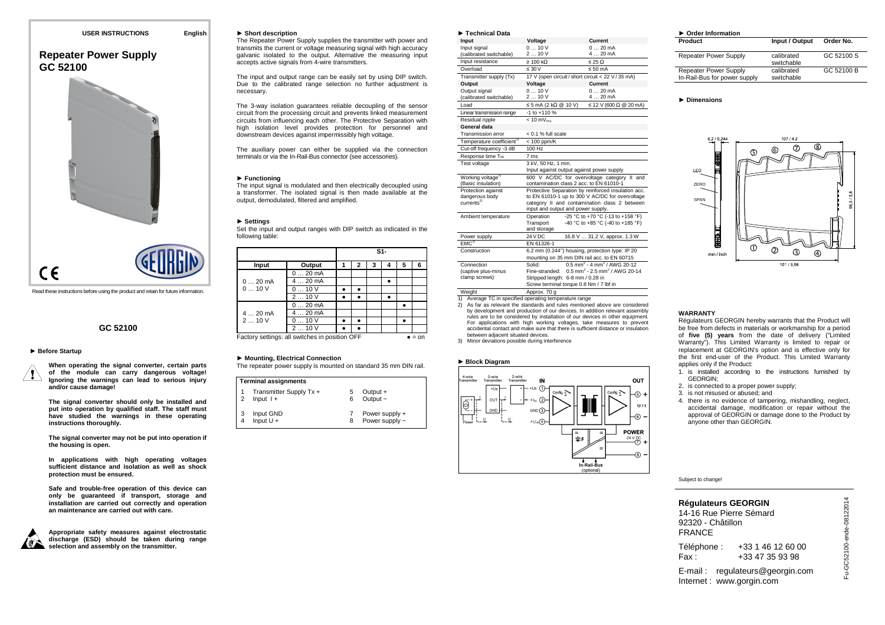# **Repeater Power Supply GC 52100**



Read these instructions before using the product and retain for future information.

## **GC 52100**

#### ► **Before Startup**

**When operating the signal converter, certain parts of the module can carry dangerous voltage! Ignoring the warnings can lead to serious injury and/or cause damage!** 

**The signal converter should only be installed and put into operation by qualified staff. The staff must have studied the warnings in these operating instructions thoroughly.** 

**The signal converter may not be put into operation if the housing is open.** 

**In applications with high operating voltages sufficient distance and isolation as well as shock protection must be ensured.** 

**Safe and trouble-free operation of this device can only be guaranteed if transport, storage and installation are carried out correctly and operation an maintenance are carried out with care.** 



**Appropriate safety measures against electrostatic discharge (ESD) should be taken during range selection and assembly on the transmitter.** 

#### ► **Short description**

 The Repeater Power Supply supplies the transmitter with power and transmits the current or voltage measuring signal with high accuracy galvanic isolated to the output. Alternative the measuring input accepts active signals from 4-wire transmitters.

The input and output range can be easily set by using DIP switch. Due to the calibrated range selection no further adjustment is necessary.

The 3-way isolation guarantees reliable decoupling of the sensor circuit from the processing circuit and prevents linked measurement circuits from influencing each other. The Protective Separation with high isolation level provides protection for personnel and downstream devices against impermissibly high voltage.

The auxiliary power can either be supplied via the connection terminals or via the In-Rail-Bus connector (see accessories).

#### ► **Functioning**

 The input signal is modulated and then electrically decoupled using a transformer. The isolated signal is then made available at the output, demodulated, filtered and amplified.

#### ► **Settings**

 Set the input and output ranges with DIP switch as indicated in the following table:

|                                                          |          |   |   | S1- |   |   |   |
|----------------------------------------------------------|----------|---|---|-----|---|---|---|
| Input                                                    | Output   | 1 | 2 | 3   | 4 | 5 | 6 |
| $020$ mA<br>010V                                         | $020$ mA |   |   |     |   |   |   |
|                                                          | $420$ mA |   |   |     |   |   |   |
|                                                          | 010V     |   |   |     |   |   |   |
|                                                          | 210V     |   |   |     |   |   |   |
| $420 \text{ mA}$<br>210V                                 | 020mA    |   |   |     |   |   |   |
|                                                          | $420$ mA |   |   |     |   |   |   |
|                                                          | 010V     |   |   |     |   |   |   |
|                                                          | 210V     |   |   |     |   |   |   |
| Factory settings: all switches in position OFF<br>$=$ on |          |   |   |     |   |   |   |

#### ► **Mounting, Electrical Connection**

The repeater power supply is mounted on standard 35 mm DIN rail.

|               | <b>Terminal assignments</b>           |        |                                  |
|---------------|---------------------------------------|--------|----------------------------------|
| $\frac{1}{2}$ | Transmitter Supply Tx +<br>Input $1+$ | 5<br>6 | Output +<br>Output -             |
|               | Input GND<br>Input $U +$              | 8      | Power supply +<br>Power supply - |

| Technical Data                           |                                                                                         |                                                                                                        |  |
|------------------------------------------|-----------------------------------------------------------------------------------------|--------------------------------------------------------------------------------------------------------|--|
| Input                                    | Voltage                                                                                 | Current                                                                                                |  |
| Input signal<br>(calibrated switchable)  | 010V<br>210V                                                                            | 020mA<br>$420$ mA                                                                                      |  |
| Input resistance                         | $\geq 100 \text{ k}\Omega$                                                              | $\leq$ 25 $\Omega$                                                                                     |  |
| Overload                                 | $\leq 30 \sqrt{ }$                                                                      | $\leq 50$ mA                                                                                           |  |
| Transmitter supply (Tx)                  |                                                                                         | 17 V (open circuit / short circuit < 22 V / 35 mA)                                                     |  |
| Output                                   | Voltage                                                                                 | Current                                                                                                |  |
| Output signal<br>(calibrated switchable) | 010V<br>210V                                                                            | $020$ mA<br>$420 \text{ mA}$                                                                           |  |
| Load                                     | $\leq$ 5 mA (2 kΩ @ 10 V)                                                               | ≤ 12 V (600 Ω @ 20 mA)                                                                                 |  |
| Linear transmission range                | $-1$ to $+110%$                                                                         |                                                                                                        |  |
| Residual ripple                          | $< 10 mV_{\text{rms}}$                                                                  |                                                                                                        |  |
| General data                             |                                                                                         |                                                                                                        |  |
| Transmission error                       | $< 0.1$ % full scale                                                                    |                                                                                                        |  |
| Temperature coefficient <sup>1)</sup>    | $< 100$ ppm/K                                                                           |                                                                                                        |  |
| Cut-off frequency -3 dB                  | 100 Hz                                                                                  |                                                                                                        |  |
| Response time T <sub>99</sub>            | 7 <sub>ms</sub>                                                                         |                                                                                                        |  |
| Test voltage                             | 3 kV, 50 Hz, 1 min.                                                                     |                                                                                                        |  |
|                                          |                                                                                         | Input against output against power supply                                                              |  |
| Working voltage <sup>2)</sup>            | 600 V AC/DC for overvoltage category II and<br>contamination class 2 acc. to EN 61010-1 |                                                                                                        |  |
| (Basic insulation)                       |                                                                                         |                                                                                                        |  |
| Protection against<br>dangerous body     |                                                                                         | Protective Separation by reinforced insulation acc.<br>to EN 61010-1 up to 300 V AC/DC for overvoltage |  |
| current <sup>2</sup>                     |                                                                                         | category II and contamination class 2 between                                                          |  |
|                                          |                                                                                         | input and output and power supply.                                                                     |  |
| Ambient temperature                      | Operation                                                                               | -25 °C to +70 °C (-13 to +158 °F)                                                                      |  |
|                                          | Transport                                                                               | -40 °C to +85 °C (-40 to +185 °F)                                                                      |  |
|                                          | and storage                                                                             |                                                                                                        |  |
| Power supply                             | 24 V DC                                                                                 | 16.8 V  31.2 V, approx. 1.3 W                                                                          |  |
| EMC <sup>3</sup>                         | EN 61326-1                                                                              |                                                                                                        |  |
| Construction                             |                                                                                         | 6.2 mm (0.244") housing, protection type: IP 20                                                        |  |
|                                          |                                                                                         | mounting on 35 mm DIN rail acc. to EN 60715                                                            |  |
| Connection                               | Solid:                                                                                  | $0.5$ mm <sup>2</sup> - 4 mm <sup>2</sup> / AWG 20-12                                                  |  |
| (captive plus-minus                      | Fine-stranded:                                                                          | $0.5$ mm <sup>2</sup> - 2.5 mm <sup>2</sup> / AWG 20-14                                                |  |
| clamp screws)                            | Stripped length: 6-8 mm / 0.28 in                                                       |                                                                                                        |  |
|                                          |                                                                                         | Screw terminal torque 0.8 Nm / 7 lbf in                                                                |  |
| Weight                                   | Approx, 70 a                                                                            |                                                                                                        |  |

Weight Approx. 70 g 1) Average TC in specified operating temperature range

- 2) As far as relevant the standards and rules mentioned above are considered by development and production of our devices. In addition relevant assembly rules are to be considered by installation of our devices in other equipment. For applications with high working voltages, take measures to prevent accidental contact and make sure that there is sufficient distance or insulation between adjacent situated devices.
- 3) Minor deviations possible during interference

#### ► **Block Diagram**



| $\triangleright$ Order Information                           |                          |            |
|--------------------------------------------------------------|--------------------------|------------|
| Product                                                      | Input / Output           | Order No.  |
| <b>Repeater Power Supply</b>                                 | calibrated<br>switchable | GC 52100 S |
| <b>Repeater Power Supply</b><br>In-Rail-Bus for power supply | calibrated<br>switchable | GC 52100 B |
|                                                              |                          |            |

#### ► **Dimensions**



#### **WARRANTY**

 Régulateurs GEORGIN hereby warrants that the Product will be free from defects in materials or workmanship for a period of **five (5) years** from the date of delivery ("Limited Warranty"). This Limited Warranty is limited to repair or replacement at GEORGIN's option and is effective only for the first end-user of the Product. This Limited Warranty applies only if the Product:

- 1. is installed according to the instructions furnished by GEORGIN;
- 2. is connected to a proper power supply;
- 3. is not misused or abused; and
- 4. there is no evidence of tampering, mishandling, neglect, accidental damage, modification or repair without the approval of GEORGIN or damage done to the Product by anyone other than GEORGIN.

Subject to change!

# **Régulateurs GEORGIN**

 14-16 Rue Pierre Sémard 92320 - Châtillon FRANCE

Téléphone : +33 1 46 12 60 00 Fax: +33 47 35 93 98

E-mail : regulateurs@georgin.com Internet : www.gorgin.com